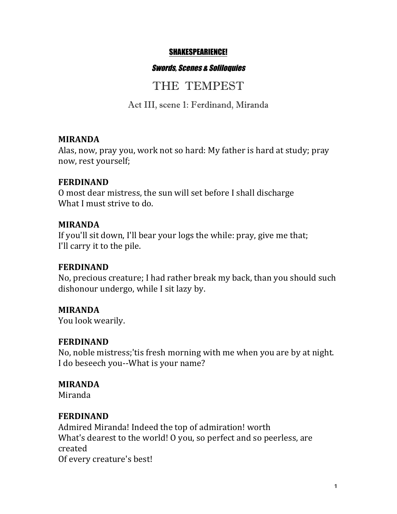#### SHAKESPEARIENCE!

#### Swords, Scenes & Soliloquies

# THE TEMPEST

Act III, scene 1: Ferdinand, Miranda

#### **MIRANDA**

Alas, now, pray you, work not so hard: My father is hard at study; pray now, rest yourself;

### **FERDINAND**

O most dear mistress, the sun will set before I shall discharge What I must strive to do.

### **MIRANDA**

If you'll sit down, I'll bear your logs the while: pray, give me that; I'll carry it to the pile.

### **FERDINAND**

No, precious creature; I had rather break my back, than you should such dishonour undergo, while I sit lazy by.

### **MIRANDA**

You look wearily.

### **FERDINAND**

No, noble mistress;'tis fresh morning with me when you are by at night. I do beseech you--What is your name?

### **MIRANDA**

Miranda

### **FERDINAND**

Admired Miranda! Indeed the top of admiration! worth What's dearest to the world! O you, so perfect and so peerless, are created Of every creature's best!